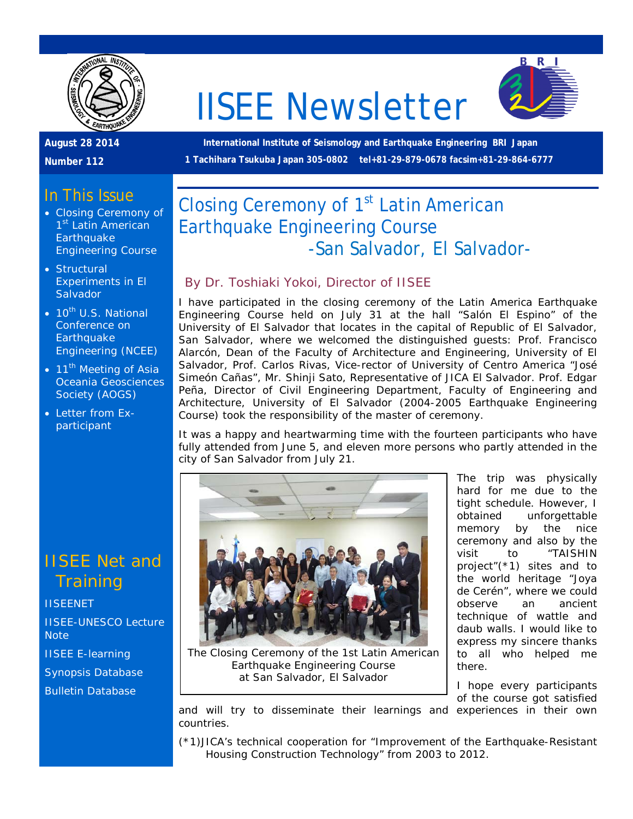

# IISEE Newsletter



**August 28 2014 Number 112**

**International Institute of Seismology and Earthquake Engineering BRI Japan 1 Tachihara Tsukuba Japan 305-0802 tel+81-29-879-0678 facsim+81-29-864-6777**

### In This Issue

- Closing Ceremony of 1<sup>st</sup> Latin American **Earthquake** Engineering Course
- Structural Experiments in El **Salvador**
- $\bullet$  10<sup>th</sup> U.S. National Conference on **Earthquake** Engineering (NCEE)
- $11<sup>th</sup>$  Meeting of Asia Oceania Geosciences Society (AOGS)
- Letter from Exparticipant

### IISEE Net and **Training**

**[IISEENET](http://iisee.kenken.go.jp/net/)** [IISEE-UNESCO Lecture](http://iisee/lna/)  **[Note](http://iisee/lna/)** [IISEE E-learning](http://iisee/el/) [Synopsis Database](http://iisee/syndb/) [Bulletin Database](http://iisee/bltndb/)

### Closing Ceremony of 1<sup>st</sup> Latin American Earthquake Engineering Course -San Salvador, El Salvador-

#### *By Dr. Toshiaki Yokoi, Director of IISEE*

I have participated in the closing ceremony of the Latin America Earthquake Engineering Course held on July 31 at the hall "Salón El Espino" of the University of El Salvador that locates in the capital of Republic of El Salvador, San Salvador, where we welcomed the distinguished guests: Prof. Francisco Alarcón, Dean of the Faculty of Architecture and Engineering, University of El Salvador, Prof. Carlos Rivas, Vice-rector of University of Centro America "José Simeón Cañas", Mr. Shinji Sato, Representative of JICA El Salvador. Prof. Edgar Peña, Director of Civil Engineering Department, Faculty of Engineering and Architecture, University of El Salvador (2004-2005 Earthquake Engineering Course) took the responsibility of the master of ceremony.

It was a happy and heartwarming time with the fourteen participants who have fully attended from June 5, and eleven more persons who partly attended in the city of San Salvador from July 21.



The Closing Ceremony of the 1st Latin American Earthquake Engineering Course at San Salvador, El Salvador

The trip was physically hard for me due to the tight schedule. However, I obtained unforgettable memory by the nice ceremony and also by the visit to "TAISHIN project"(\*1) sites and to the world heritage "Joya de Cerén", where we could observe an ancient technique of wattle and daub walls. I would like to express my sincere thanks to all who helped me there.

I hope every participants of the course got satisfied

and will try to disseminate their learnings and experiences in their own countries.

(\*1)JICA's technical cooperation for "Improvement of the Earthquake-Resistant Housing Construction Technology" from 2003 to 2012.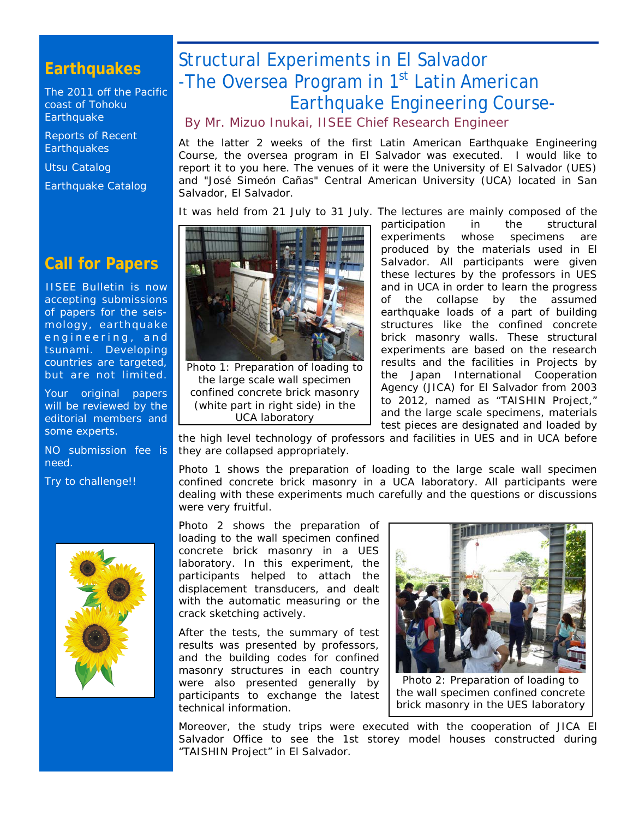### **Earthquakes**

[The 2011 off the Pacific](http://iisee/special2/20110311tohoku.htm)  [coast of Tohoku](http://iisee/special2/20110311tohoku.htm)  **[Earthquake](http://iisee/special2/20110311tohoku.htm)** 

[Reports of Recent](http://iisee/quakes.htm)  **[Earthquakes](http://iisee/quakes.htm)** 

[Utsu Catalog](http://iisee/utsu/index_eng.html)

[Earthquake Catalog](http://iisee/eqcat/Top_page_en.htm)

### **Call for Papers**

IISEE Bulletin is now accepting submissions of papers for the seismology, earthquake engineering, and tsunami. Developing countries are targeted, but are not limited.

Your original papers will be reviewed by the editorial members and some experts.

NO submission fee is need.

Try to challenge!!



## Structural Experiments in El Salvador -The Oversea Program in 1<sup>st</sup> Latin American Earthquake Engineering Course-

*By Mr. Mizuo Inukai, IISEE Chief Research Engineer*

At the latter 2 weeks of the first Latin American Earthquake Engineering Course, the oversea program in El Salvador was executed. I would like to report it to you here. The venues of it were the University of El Salvador (UES) and "José Simeón Cañas" Central American University (UCA) located in San Salvador, El Salvador.

It was held from 21 July to 31 July. The lectures are mainly composed of the



Photo 1: Preparation of loading to the large scale wall specimen confined concrete brick masonry (white part in right side) in the UCA laboratory

participation in the structural<br>experiments whose specimens are experiments whose specimens are produced by the materials used in El Salvador. All participants were given these lectures by the professors in UES and in UCA in order to learn the progress of the collapse by the assumed earthquake loads of a part of building structures like the confined concrete brick masonry walls. These structural experiments are based on the research results and the facilities in Projects by the Japan International Cooperation Agency (JICA) for El Salvador from 2003 to 2012, named as "TAISHIN Project," and the large scale specimens, materials test pieces are designated and loaded by

the high level technology of professors and facilities in UES and in UCA before they are collapsed appropriately.

Photo 1 shows the preparation of loading to the large scale wall specimen confined concrete brick masonry in a UCA laboratory. All participants were dealing with these experiments much carefully and the questions or discussions were very fruitful.

Photo 2 shows the preparation of loading to the wall specimen confined concrete brick masonry in a UES laboratory. In this experiment, the participants helped to attach the displacement transducers, and dealt with the automatic measuring or the crack sketching actively.

After the tests, the summary of test results was presented by professors, and the building codes for confined masonry structures in each country were also presented generally by participants to exchange the latest technical information.



Photo 2: Preparation of loading to the wall specimen confined concrete brick masonry in the UES laboratory

Moreover, the study trips were executed with the cooperation of JICA El Salvador Office to see the 1st storey model houses constructed during "TAISHIN Project" in El Salvador.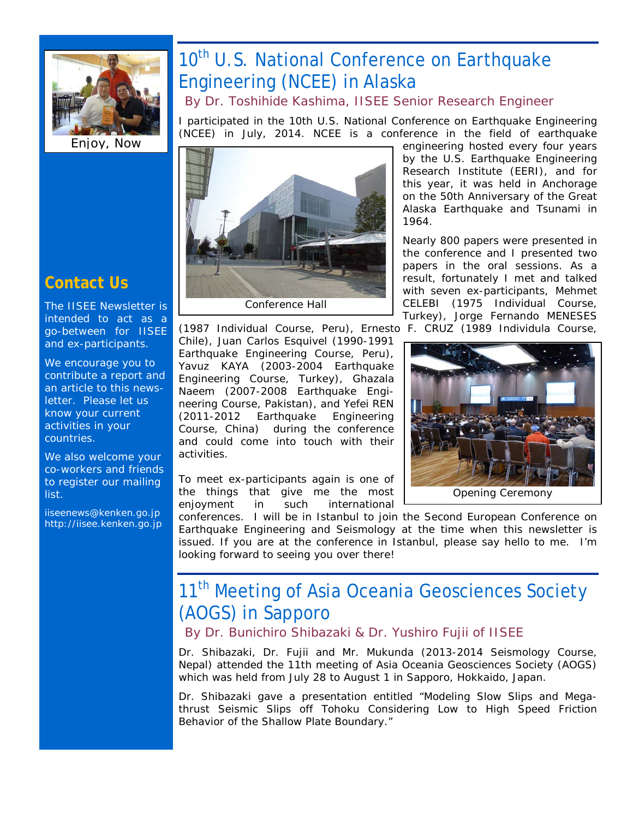

# 10<sup>th</sup> U.S. National Conference on Earthquake Engineering (NCEE) in Alaska

*By Dr. Toshihide Kashima, IISEE Senior Research Engineer*

I participated in the 10th U.S. National Conference on Earthquake Engineering (NCEE) in July, 2014. NCEE is a conference in the field of earthquake

Enjoy, Now

### **Contact Us**

The IISEE Newsletter is intended to act as a go-between for IISEE and ex-participants.

We encourage you to contribute a report and an article to this newsletter. Please let us know your current activities in your countries.

We also welcome your co-workers and friends to register our mailing list.

iiseenews@kenken.go.jp [http://iisee.kenken.go.jp](http://iisee.kenken.go.jp/)



(1987 Individual Course, Peru), Ernesto F. CRUZ (1989 Individula Course,

Chile), Juan Carlos Esquivel (1990-1991 Earthquake Engineering Course, Peru), Yavuz KAYA (2003-2004 Earthquake Engineering Course, Turkey), Ghazala Naeem (2007-2008 Earthquake Engineering Course, Pakistan), and Yefei REN (2011-2012 Earthquake Engineering Course, China) during the conference and could come into touch with their activities.

To meet ex-participants again is one of the things that give me the most enjoyment in such international engineering hosted every four years by the U.S. Earthquake Engineering Research Institute (EERI), and for this year, it was held in Anchorage on the 50th Anniversary of the Great Alaska Earthquake and Tsunami in 1964.

Nearly 800 papers were presented in the conference and I presented two papers in the oral sessions. As a result, fortunately I met and talked with seven ex-participants, Mehmet CELEBI (1975 Individual Course, Turkey), Jorge Fernando MENESES



Opening Ceremony

conferences. I will be in Istanbul to join the Second European Conference on Earthquake Engineering and Seismology at the time when this newsletter is issued. If you are at the conference in Istanbul, please say hello to me. I'm looking forward to seeing you over there!

# 11<sup>th</sup> Meeting of Asia Oceania Geosciences Society (AOGS) in Sapporo

#### *By Dr. Bunichiro Shibazaki & Dr. Yushiro Fujii of IISEE*

Dr. Shibazaki, Dr. Fujii and Mr. Mukunda (2013-2014 Seismology Course, Nepal) attended the 11th meeting of Asia Oceania Geosciences Society (AOGS) which was held from July 28 to August 1 in Sapporo, Hokkaido, Japan.

Dr. Shibazaki gave a presentation entitled "Modeling Slow Slips and Megathrust Seismic Slips off Tohoku Considering Low to High Speed Friction Behavior of the Shallow Plate Boundary."